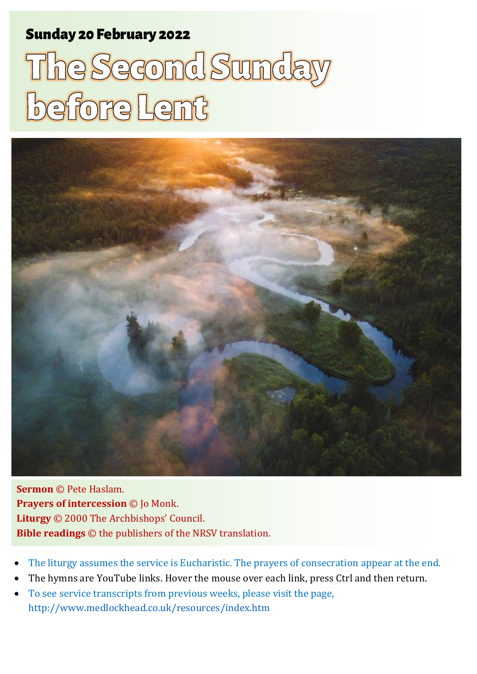# Sunday 20 February 2022 1 The Sunday Before Lent Sunday 20 Second Sunday Before Lent Sunday 1

# The Second Sunday before Lent



**Sermon** © Pete Haslam. **Prayers of intercession** © Jo Monk. **Liturgy** © 2000 The Archbishops' Council. **Bible readings** © the publishers of the NRSV translation.

- The liturgy assumes the service is Eucharistic. The prayers of consecration appear at the end.
- The hymns are YouTube links. Hover the mouse over each link, press Ctrl and then return.
- To see service transcripts from previous weeks, please visit the page, <http://www.medlockhead.co.uk/resources/index.htm>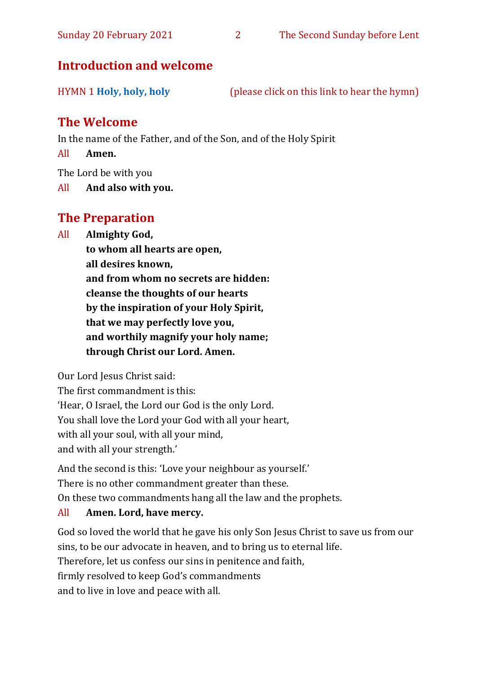# **Introduction and welcome**

| <b>HYMN 1 Holy, holy, holy</b> | (please click on this link to hear the hymn) |  |
|--------------------------------|----------------------------------------------|--|

# **The Welcome**

In the name of the Father, and of the Son, and of the Holy Spirit

All **Amen.**

The Lord be with you

All **And also with you.**

# **The Preparation**

All **Almighty God,**

**to whom all hearts are open, all desires known, and from whom no secrets are hidden: cleanse the thoughts of our hearts by the inspiration of your Holy Spirit, that we may perfectly love you, and worthily magnify your holy name; through Christ our Lord. Amen.**

Our Lord Jesus Christ said:

The first commandment is this: 'Hear, O Israel, the Lord our God is the only Lord. You shall love the Lord your God with all your heart, with all your soul, with all your mind, and with all your strength.'

And the second is this: 'Love your neighbour as yourself.' There is no other commandment greater than these. On these two commandments hang all the law and the prophets.

#### All **Amen. Lord, have mercy.**

God so loved the world that he gave his only Son Jesus Christ to save us from our sins, to be our advocate in heaven, and to bring us to eternal life. Therefore, let us confess our sins in penitence and faith, firmly resolved to keep God's commandments and to live in love and peace with all.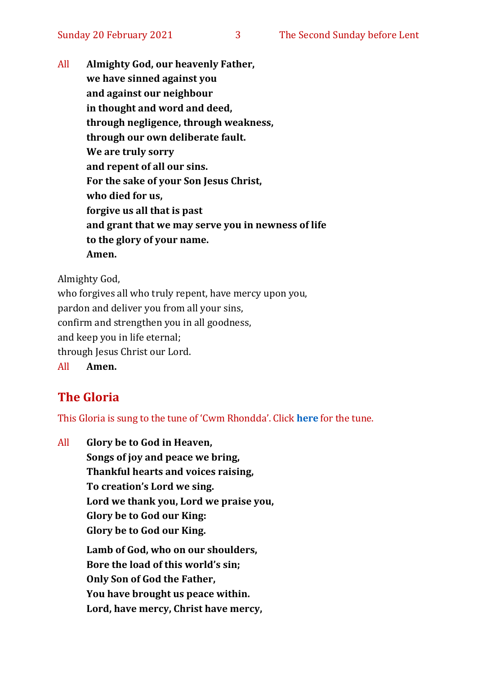All **Almighty God, our heavenly Father, we have sinned against you and against our neighbour in thought and word and deed, through negligence, through weakness, through our own deliberate fault. We are truly sorry and repent of all our sins. For the sake of your Son Jesus Christ, who died for us, forgive us all that is past and grant that we may serve you in newness of life to the glory of your name. Amen.**

Almighty God,

who forgives all who truly repent, have mercy upon you, pardon and deliver you from all your sins, confirm and strengthen you in all goodness, and keep you in life eternal; through Jesus Christ our Lord. All **Amen.**

# **The Gloria**

This Gloria is sung to the tune of 'Cwm Rhondda'. Click **[here](about:blank)** for the tune.

All **Glory be to God in Heaven, Songs of joy and peace we bring, Thankful hearts and voices raising, To creation's Lord we sing. Lord we thank you, Lord we praise you, Glory be to God our King: Glory be to God our King. Lamb of God, who on our shoulders, Bore the load of this world's sin; Only Son of God the Father, You have brought us peace within. Lord, have mercy, Christ have mercy,**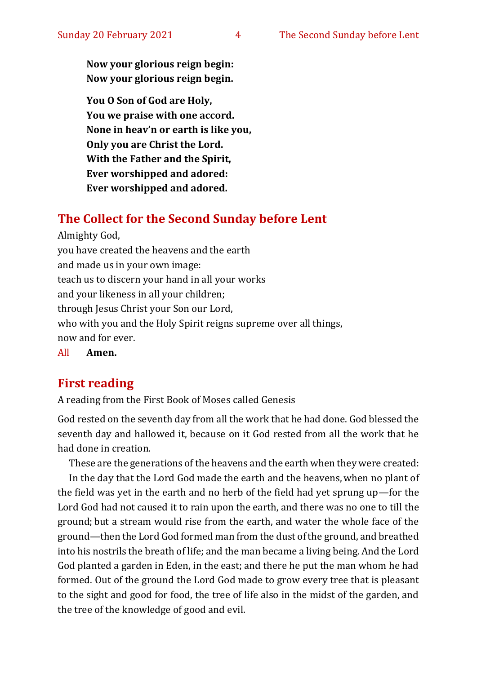**Now your glorious reign begin: Now your glorious reign begin.**

**You O Son of God are Holy, You we praise with one accord. None in heav'n or earth is like you, Only you are Christ the Lord. With the Father and the Spirit, Ever worshipped and adored: Ever worshipped and adored.**

## **The Collect for the Second Sunday before Lent**

Almighty God, you have created the heavens and the earth and made us in your own image: teach us to discern your hand in all your works and your likeness in all your children; through Jesus Christ your Son our Lord, who with you and the Holy Spirit reigns supreme over all things, now and for ever.

All **Amen.**

## **First reading**

A reading from the First Book of Moses called Genesis

God rested on the seventh day from all the work that he had done. God blessed the seventh day and hallowed it, because on it God rested from all the work that he had done in creation.

These are the generations of the heavens and the earth when they were created:

In the day that the Lord God made the earth and the heavens, when no plant of the field was yet in the earth and no herb of the field had yet sprung up—for the Lord God had not caused it to rain upon the earth, and there was no one to till the ground; but a stream would rise from the earth, and water the whole face of the ground—then the Lord God formed man from the dust of the ground, and breathed into his nostrils the breath of life; and the man became a living being. And the Lord God planted a garden in Eden, in the east; and there he put the man whom he had formed. Out of the ground the Lord God made to grow every tree that is pleasant to the sight and good for food, the tree of life also in the midst of the garden, and the tree of the knowledge of good and evil.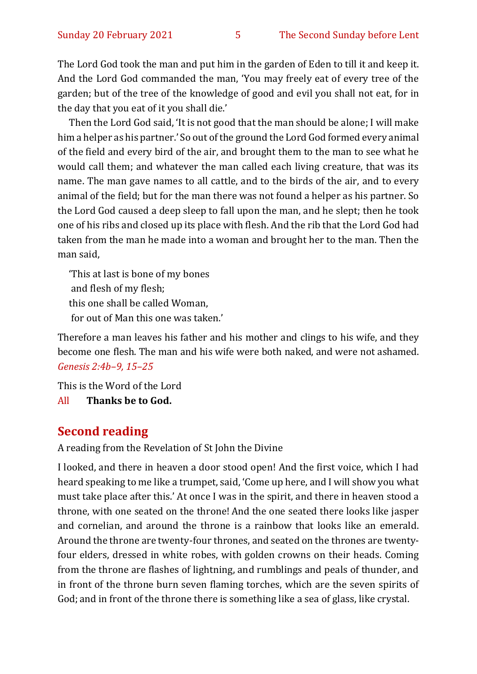The Lord God took the man and put him in the garden of Eden to till it and keep it. And the Lord God commanded the man, 'You may freely eat of every tree of the garden; but of the tree of the knowledge of good and evil you shall not eat, for in the day that you eat of it you shall die.'

Then the Lord God said, 'It is not good that the man should be alone; I will make him a helper as his partner.' So out of the ground the Lord God formed every animal of the field and every bird of the air, and brought them to the man to see what he would call them; and whatever the man called each living creature, that was its name. The man gave names to all cattle, and to the birds of the air, and to every animal of the field; but for the man there was not found a helper as his partner. So the Lord God caused a deep sleep to fall upon the man, and he slept; then he took one of his ribs and closed up its place with flesh. And the rib that the Lord God had taken from the man he made into a woman and brought her to the man. Then the man said,

'This at last is bone of my bones and flesh of my flesh; this one shall be called Woman, for out of Man this one was taken.'

Therefore a man leaves his father and his mother and clings to his wife, and they become one flesh. The man and his wife were both naked, and were not ashamed. *Genesis 2:4b–9, 15–25*

This is the Word of the Lord All **Thanks be to God.**

## **Second reading**

A reading from the Revelation of St John the Divine

I looked, and there in heaven a door stood open! And the first voice, which I had heard speaking to me like a trumpet, said, 'Come up here, and I will show you what must take place after this.' At once I was in the spirit, and there in heaven stood a throne, with one seated on the throne! And the one seated there looks like jasper and cornelian, and around the throne is a rainbow that looks like an emerald. Around the throne are twenty-four thrones, and seated on the thrones are twentyfour elders, dressed in white robes, with golden crowns on their heads. Coming from the throne are flashes of lightning, and rumblings and peals of thunder, and in front of the throne burn seven flaming torches, which are the seven spirits of God; and in front of the throne there is something like a sea of glass, like crystal.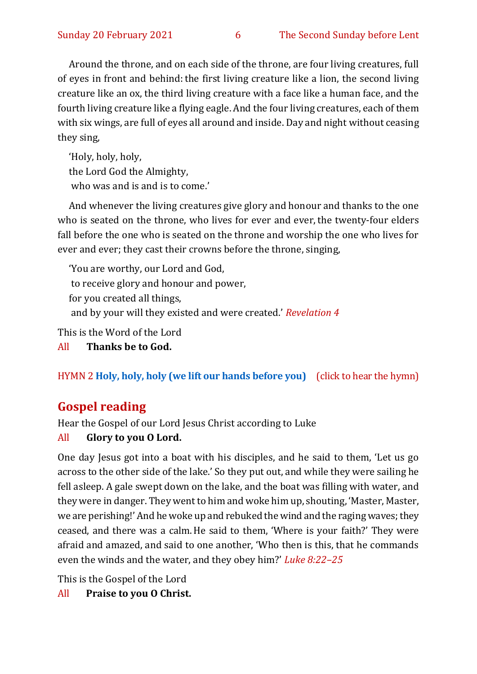Around the throne, and on each side of the throne, are four living creatures, full of eyes in front and behind: the first living creature like a lion, the second living creature like an ox, the third living creature with a face like a human face, and the fourth living creature like a flying eagle. And the four living creatures, each of them with six wings, are full of eyes all around and inside. Day and night without ceasing they sing,

'Holy, holy, holy, the Lord God the Almighty, who was and is and is to come.'

And whenever the living creatures give glory and honour and thanks to the one who is seated on the throne, who lives for ever and ever, the twenty-four elders fall before the one who is seated on the throne and worship the one who lives for ever and ever; they cast their crowns before the throne, singing,

'You are worthy, our Lord and God, to receive glory and honour and power, for you created all things, and by your will they existed and were created.' *Revelation 4*

This is the Word of the Lord

All **Thanks be to God.**

HYMN 2 **[Holy, holy, holy \(we lift our hands before you\)](https://www.youtube.com/watch?v=5dX4rN4WYAg)** (click to hear the hymn)

# **Gospel reading**

Hear the Gospel of our Lord Jesus Christ according to Luke

#### All **Glory to you O Lord.**

One day Jesus got into a boat with his disciples, and he said to them, 'Let us go across to the other side of the lake.' So they put out, and while they were sailing he fell asleep. A gale swept down on the lake, and the boat was filling with water, and they were in danger. They went to him and woke him up, shouting, 'Master, Master, we are perishing!' And he woke up and rebuked the wind and the raging waves; they ceased, and there was a calm.He said to them, 'Where is your faith?' They were afraid and amazed, and said to one another, 'Who then is this, that he commands even the winds and the water, and they obey him?' *Luke 8:22–25*

This is the Gospel of the Lord

All **Praise to you O Christ.**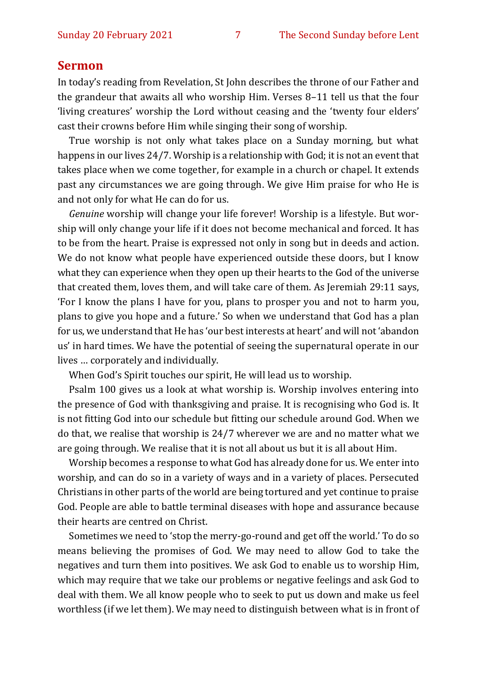#### **Sermon**

In today's reading from Revelation, St John describes the throne of our Father and the grandeur that awaits all who worship Him. Verses 8–11 tell us that the four 'living creatures' worship the Lord without ceasing and the 'twenty four elders' cast their crowns before Him while singing their song of worship.

True worship is not only what takes place on a Sunday morning, but what happens in our lives 24/7. Worship is a relationship with God; it is not an event that takes place when we come together, for example in a church or chapel. It extends past any circumstances we are going through. We give Him praise for who He is and not only for what He can do for us.

*Genuine* worship will change your life forever! Worship is a lifestyle. But worship will only change your life if it does not become mechanical and forced. It has to be from the heart. Praise is expressed not only in song but in deeds and action. We do not know what people have experienced outside these doors, but I know what they can experience when they open up their hearts to the God of the universe that created them, loves them, and will take care of them. As Jeremiah 29:11 says, 'For I know the plans I have for you, plans to prosper you and not to harm you, plans to give you hope and a future.' So when we understand that God has a plan for us, we understand that He has 'our best interests at heart' and will not 'abandon us' in hard times. We have the potential of seeing the supernatural operate in our lives … corporately and individually.

When God's Spirit touches our spirit, He will lead us to worship.

Psalm 100 gives us a look at what worship is. Worship involves entering into the presence of God with thanksgiving and praise. It is recognising who God is. It is not fitting God into our schedule but fitting our schedule around God. When we do that, we realise that worship is 24/7 wherever we are and no matter what we are going through. We realise that it is not all about us but it is all about Him.

Worship becomes a response to what God has already done for us. We enter into worship, and can do so in a variety of ways and in a variety of places. Persecuted Christians in other parts of the world are being tortured and yet continue to praise God. People are able to battle terminal diseases with hope and assurance because their hearts are centred on Christ.

Sometimes we need to 'stop the merry-go-round and get off the world.' To do so means believing the promises of God. We may need to allow God to take the negatives and turn them into positives. We ask God to enable us to worship Him, which may require that we take our problems or negative feelings and ask God to deal with them. We all know people who to seek to put us down and make us feel worthless (if we let them). We may need to distinguish between what is in front of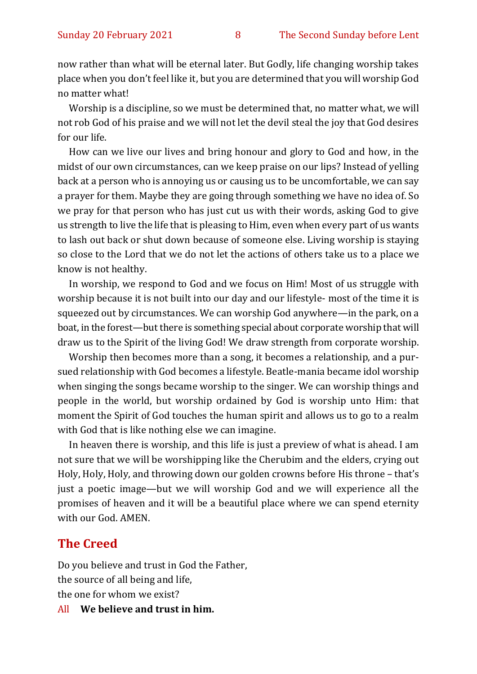now rather than what will be eternal later. But Godly, life changing worship takes place when you don't feel like it, but you are determined that you will worship God no matter what!

Worship is a discipline, so we must be determined that, no matter what, we will not rob God of his praise and we will not let the devil steal the joy that God desires for our life.

How can we live our lives and bring honour and glory to God and how, in the midst of our own circumstances, can we keep praise on our lips? Instead of yelling back at a person who is annoying us or causing us to be uncomfortable, we can say a prayer for them. Maybe they are going through something we have no idea of. So we pray for that person who has just cut us with their words, asking God to give us strength to live the life that is pleasing to Him, even when every part of us wants to lash out back or shut down because of someone else. Living worship is staying so close to the Lord that we do not let the actions of others take us to a place we know is not healthy.

In worship, we respond to God and we focus on Him! Most of us struggle with worship because it is not built into our day and our lifestyle- most of the time it is squeezed out by circumstances. We can worship God anywhere—in the park, on a boat, in the forest—but there is something special about corporate worship that will draw us to the Spirit of the living God! We draw strength from corporate worship.

Worship then becomes more than a song, it becomes a relationship, and a pursued relationship with God becomes a lifestyle. Beatle-mania became idol worship when singing the songs became worship to the singer. We can worship things and people in the world, but worship ordained by God is worship unto Him: that moment the Spirit of God touches the human spirit and allows us to go to a realm with God that is like nothing else we can imagine.

In heaven there is worship, and this life is just a preview of what is ahead. I am not sure that we will be worshipping like the Cherubim and the elders, crying out Holy, Holy, Holy, and throwing down our golden crowns before His throne – that's just a poetic image—but we will worship God and we will experience all the promises of heaven and it will be a beautiful place where we can spend eternity with our God. AMEN.

#### **The Creed**

Do you believe and trust in God the Father, the source of all being and life, the one for whom we exist?

All **We believe and trust in him.**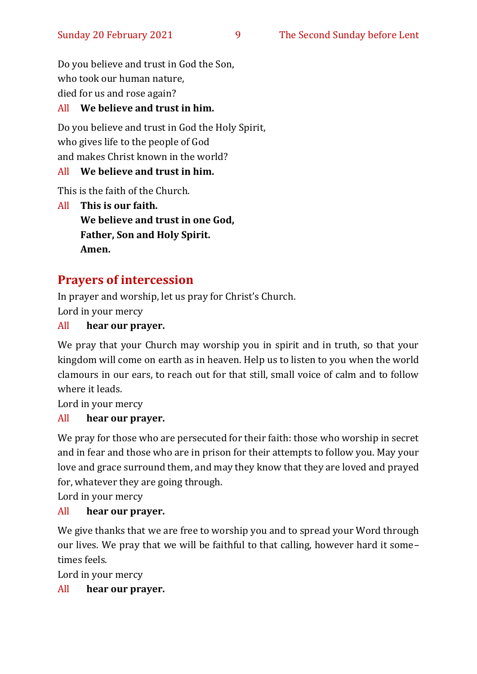Do you believe and trust in God the Son, who took our human nature, died for us and rose again?

#### All **We believe and trust in him.**

Do you believe and trust in God the Holy Spirit, who gives life to the people of God and makes Christ known in the world?

#### All **We believe and trust in him.**

This is the faith of the Church.

All **This is our faith. We believe and trust in one God, Father, Son and Holy Spirit. Amen.**

# **Prayers of intercession**

In prayer and worship, let us pray for Christ's Church. Lord in your mercy

#### All **hear our prayer.**

We pray that your Church may worship you in spirit and in truth, so that your kingdom will come on earth as in heaven. Help us to listen to you when the world clamours in our ears, to reach out for that still, small voice of calm and to follow where it leads.

Lord in your mercy

#### All **hear our prayer.**

We pray for those who are persecuted for their faith: those who worship in secret and in fear and those who are in prison for their attempts to follow you. May your love and grace surround them, and may they know that they are loved and prayed for, whatever they are going through.

Lord in your mercy

#### All **hear our prayer.**

We give thanks that we are free to worship you and to spread your Word through our lives. We pray that we will be faithful to that calling, however hard it some– times feels.

Lord in your mercy

#### All **hear our prayer.**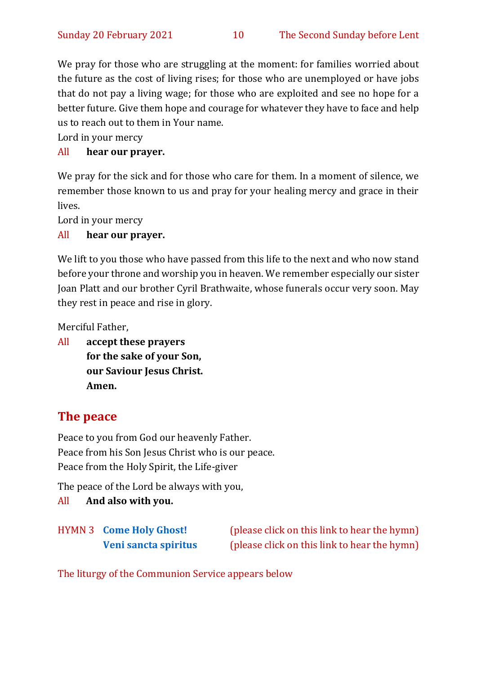We pray for those who are struggling at the moment: for families worried about the future as the cost of living rises; for those who are unemployed or have jobs that do not pay a living wage; for those who are exploited and see no hope for a better future. Give them hope and courage for whatever they have to face and help us to reach out to them in Your name.

Lord in your mercy

#### All **hear our prayer.**

We pray for the sick and for those who care for them. In a moment of silence, we remember those known to us and pray for your healing mercy and grace in their lives.

Lord in your mercy

#### All **hear our prayer.**

We lift to you those who have passed from this life to the next and who now stand before your throne and worship you in heaven. We remember especially our sister Joan Platt and our brother Cyril Brathwaite, whose funerals occur very soon. May they rest in peace and rise in glory.

Merciful Father,

All **accept these prayers for the sake of your Son, our Saviour Jesus Christ. Amen.**

# **The peace**

Peace to you from God our heavenly Father. Peace from his Son Jesus Christ who is our peace. Peace from the Holy Spirit, the Life-giver

The peace of the Lord be always with you,

#### All **And also with you.**

| <b>HYMN 3 Come Holy Ghost!</b> | (please click on this link to hear the hymn) |
|--------------------------------|----------------------------------------------|
| Veni sancta spiritus           | (please click on this link to hear the hymn) |

The liturgy of the Communion Service appears below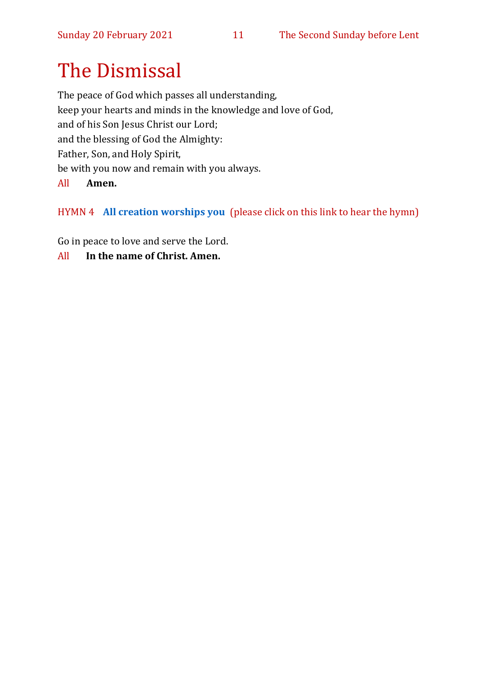# The Dismissal

The peace of God which passes all understanding, keep your hearts and minds in the knowledge and love of God, and of his Son Jesus Christ our Lord; and the blessing of God the Almighty: Father, Son, and Holy Spirit, be with you now and remain with you always.

#### All **Amen.**

HYMN 4 **[All creation worships you](https://www.youtube.com/watch?v=jE6GNhjS34A)** (please click on this link to hear the hymn)

Go in peace to love and serve the Lord.

All **In the name of Christ. Amen.**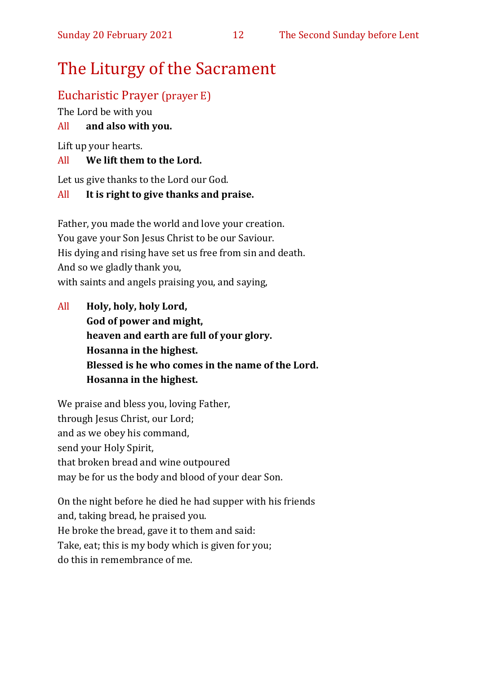# The Liturgy of the Sacrament

# Eucharistic Prayer (prayer E)

The Lord be with you

#### All **and also with you.**

Lift up your hearts.

#### All **We lift them to the Lord.**

Let us give thanks to the Lord our God.

#### All **It is right to give thanks and praise.**

Father, you made the world and love your creation. You gave your Son Jesus Christ to be our Saviour. His dying and rising have set us free from sin and death. And so we gladly thank you, with saints and angels praising you, and saying,

All **Holy, holy, holy Lord, God of power and might, heaven and earth are full of your glory. Hosanna in the highest. Blessed is he who comes in the name of the Lord. Hosanna in the highest.**

We praise and bless you, loving Father, through Jesus Christ, our Lord; and as we obey his command, send your Holy Spirit, that broken bread and wine outpoured may be for us the body and blood of your dear Son.

On the night before he died he had supper with his friends and, taking bread, he praised you. He broke the bread, gave it to them and said: Take, eat; this is my body which is given for you; do this in remembrance of me.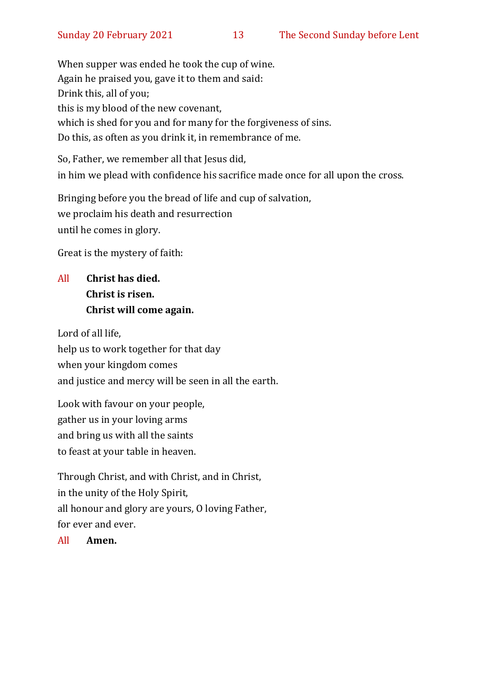When supper was ended he took the cup of wine. Again he praised you, gave it to them and said: Drink this, all of you; this is my blood of the new covenant, which is shed for you and for many for the forgiveness of sins. Do this, as often as you drink it, in remembrance of me.

So, Father, we remember all that Jesus did, in him we plead with confidence his sacrifice made once for all upon the cross.

Bringing before you the bread of life and cup of salvation, we proclaim his death and resurrection until he comes in glory.

Great is the mystery of faith:

# All **Christ has died. Christ is risen. Christ will come again.**

Lord of all life, help us to work together for that day when your kingdom comes and justice and mercy will be seen in all the earth.

Look with favour on your people, gather us in your loving arms and bring us with all the saints to feast at your table in heaven.

Through Christ, and with Christ, and in Christ, in the unity of the Holy Spirit, all honour and glory are yours, O loving Father, for ever and ever.

All **Amen.**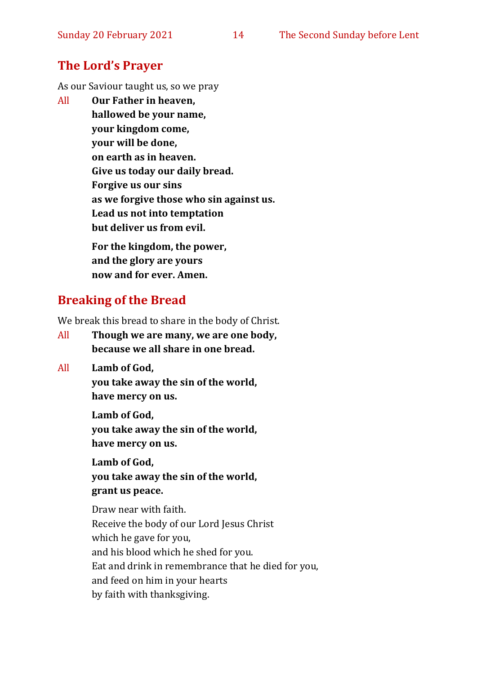# **The Lord's Prayer**

As our Saviour taught us, so we pray

All **Our Father in heaven, hallowed be your name, your kingdom come, your will be done, on earth as in heaven. Give us today our daily bread. Forgive us our sins as we forgive those who sin against us. Lead us not into temptation but deliver us from evil.**

**For the kingdom, the power, and the glory are yours now and for ever. Amen.**

# **Breaking of the Bread**

We break this bread to share in the body of Christ.

- All **Though we are many, we are one body, because we all share in one bread.**
- All **Lamb of God,**

**you take away the sin of the world, have mercy on us.**

**Lamb of God, you take away the sin of the world, have mercy on us.**

**Lamb of God,** 

**you take away the sin of the world, grant us peace.**

Draw near with faith. Receive the body of our Lord Jesus Christ which he gave for you, and his blood which he shed for you. Eat and drink in remembrance that he died for you, and feed on him in your hearts by faith with thanksgiving.